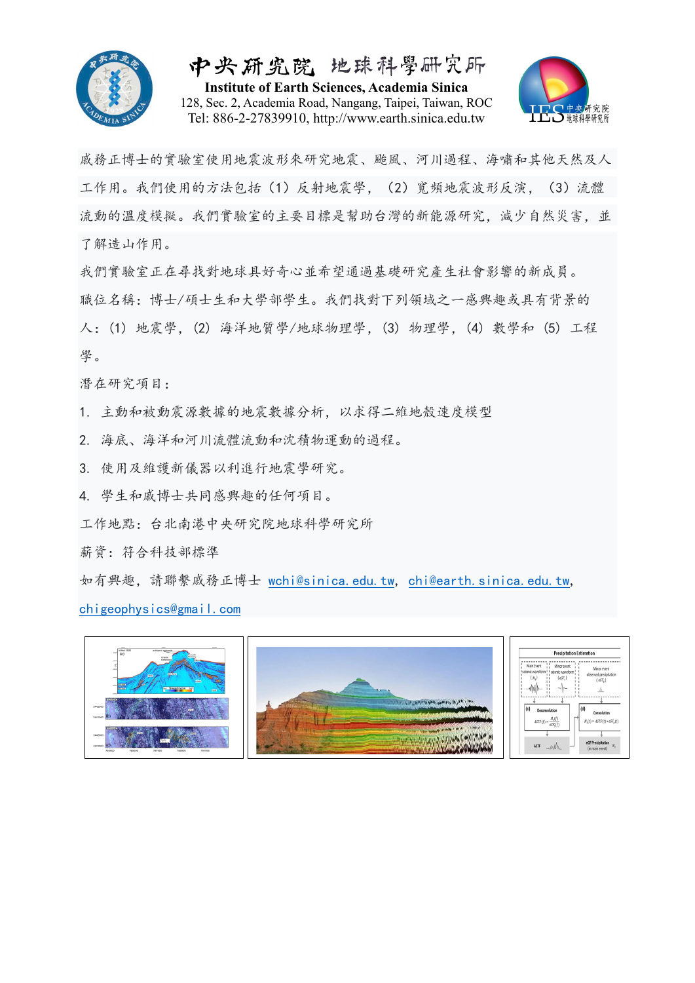

中央研究院 地球科學研究所 **Institute of Earth Sciences, Academia Sinica** 128, Sec. 2, Academia Road, Nangang, Taipei, Taiwan, ROC Tel: 886-2-27839910, http://www.earth.sinica.edu.tw



戚務正博士的實驗室使用地震波形來研究地震、颱風、河川過程、海嘯和其他天然及人 工作用。我們使用的方法包括(1)反射地震學,(2)寬頻地震波形反演,(3)流體 流動的溫度模擬。我們實驗室的主要目標是幫助台灣的新能源研究,減少自然災害,並 了解造山作用。

我們實驗室正在尋找對地球具好奇心並希望通過基礎研究產生社會影響的新成員。 職位名稱:博士/碩士生和大學部學生。我們找對下列領域之一感興趣或具有背景的 人:(1) 地震學,(2) 海洋地質學/地球物理學,(3) 物理學,(4) 數學和 (5) 工程 學。

潛在研究項目:

1. 主動和被動震源數據的地震數據分析,以求得二維地殼速度模型

- 2. 海底、海洋和河川流體流動和沈積物運動的過程。
- 3. 使用及維護新儀器以利進行地震學研究。

4. 學生和戚博士共同感興趣的任何項目。

工作地點:台北南港中央研究院地球科學研究所

薪資:符合科技部標準

如有興趣,請聯繫戚務正博士 wchi@sinica.edu.tw, chi@earth.sinica.edu.tw, chigeophysics@gmail.com